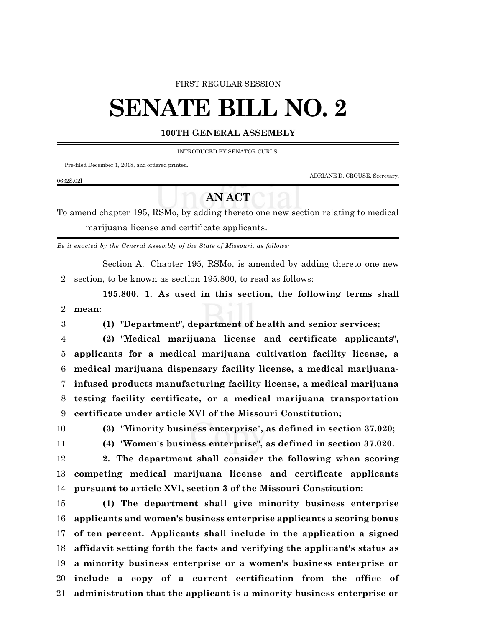### FIRST REGULAR SESSION

# **SENATE BILL NO. 2**

## **100TH GENERAL ASSEMBLY**

INTRODUCED BY SENATOR CURLS.

Pre-filed December 1, 2018, and ordered printed.

ADRIANE D. CROUSE, Secretary.

### 0662S.02I

## **AN ACT**

To amend chapter 195, RSMo, by adding thereto one new section relating to medical marijuana license and certificate applicants.

*Be it enacted by the General Assembly of the State of Missouri, as follows:*

Section A. Chapter 195, RSMo, is amended by adding thereto one new section, to be known as section 195.800, to read as follows:

**195.800. 1. As used in this section, the following terms shall mean:**

**(1) "Department", department of health and senior services;**

 **(2) "Medical marijuana license and certificate applicants", applicants for a medical marijuana cultivation facility license, a medical marijuana dispensary facility license, a medical marijuana- infused products manufacturing facility license, a medical marijuana testing facility certificate, or a medical marijuana transportation certificate under article XVI of the Missouri Constitution;**

**(3) "Minority business enterprise", as defined in section 37.020;**

**(4) "Women's business enterprise", as defined in section 37.020.**

 **2. The department shall consider the following when scoring competing medical marijuana license and certificate applicants pursuant to article XVI, section 3 of the Missouri Constitution:**

 **(1) The department shall give minority business enterprise applicants and women's business enterprise applicants a scoring bonus of ten percent. Applicants shall include in the application a signed affidavit setting forth the facts and verifying the applicant's status as a minority business enterprise or a women's business enterprise or include a copy of a current certification from the office of administration that the applicant is a minority business enterprise or**